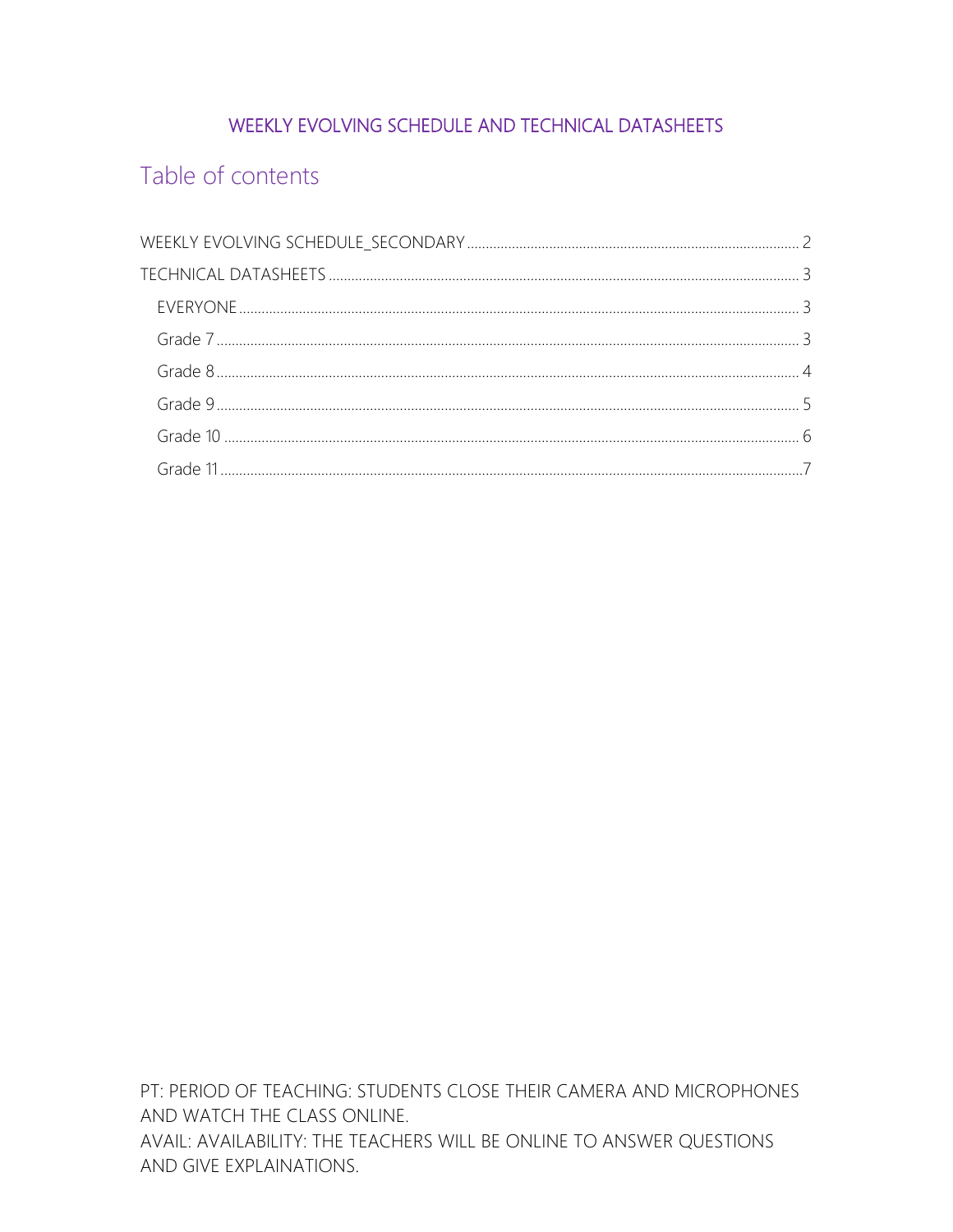## WEEKLY EVOLVING SCHEDULE AND TECHNICAL DATASHEETS

# Table of contents

PT: PERIOD OF TEACHING: STUDENTS CLOSE THEIR CAMERA AND MICROPHONES AND WATCH THE CLASS ONLINE. AVAIL: AVAILABILITY: THE TEACHERS WILL BE ONLINE TO ANSWER QUESTIONS AND GIVE EXPLAINATIONS.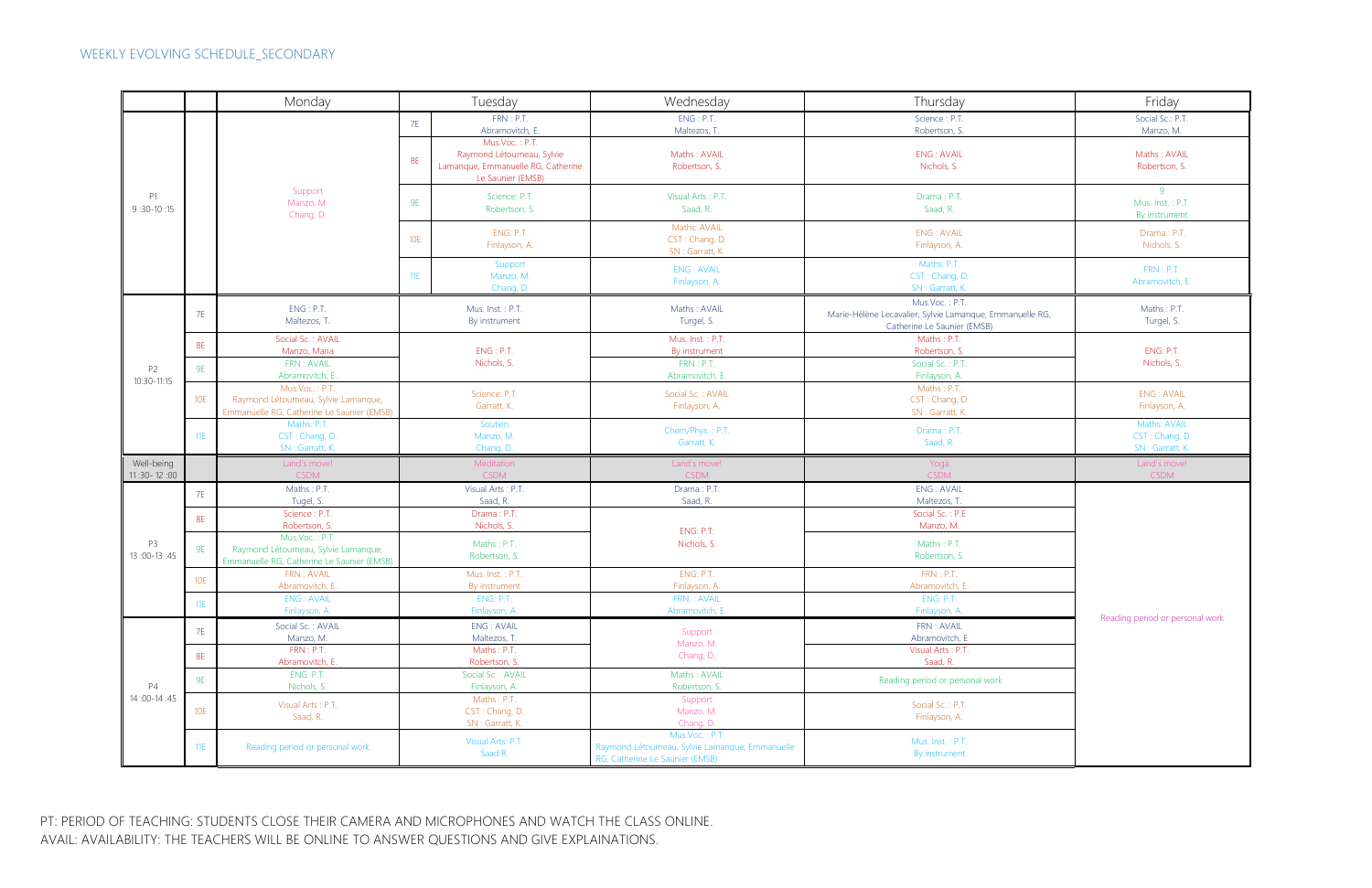PT: PERIOD OF TEACHING: STUDENTS CLOSE THEIR CAMERA AND MICROPHONES AND WATCH THE CLASS ONLINE. AVAIL: AVAILABILITY: THE TEACHERS WILL BE ONLINE TO ANSWER QUESTIONS AND GIVE EXPLAINATIONS.

<span id="page-1-0"></span>

|                               |            | Monday                                                                                               | Tuesday                           |                                                                                                         | Wednesday                                                                                            | Thursday                                                                                                  | Friday                                            |  |
|-------------------------------|------------|------------------------------------------------------------------------------------------------------|-----------------------------------|---------------------------------------------------------------------------------------------------------|------------------------------------------------------------------------------------------------------|-----------------------------------------------------------------------------------------------------------|---------------------------------------------------|--|
| P1<br>$9:30-10:15$            |            |                                                                                                      | <b>7E</b>                         | FRN: P.T.                                                                                               | ENG: P.T.                                                                                            | Science: P.T.                                                                                             | Social Sc.: P.T.                                  |  |
|                               |            |                                                                                                      |                                   | Abramovitch, E.                                                                                         | Maltezos, T                                                                                          | Robertson, S.                                                                                             | Manzo, M.                                         |  |
|                               |            |                                                                                                      | <b>8E</b>                         | Mus.Voc.: P.T.<br>Raymond Létourneau, Sylvie<br>Lamanque, Emmanuelle RG, Catherine<br>Le Saunier (EMSB) | Maths: AVAIL<br>Robertson, S.                                                                        | <b>ENG: AVAIL</b><br>Nichols, S.                                                                          | Maths: AVAIL<br>Robertson, S.                     |  |
|                               |            | Support<br>Manzo, M.<br>Chang, D.                                                                    | 9E                                | Science: P.T.<br>Robertson, S.                                                                          | Visual Arts: P.T.<br>Saad, R.                                                                        | Drama: P.T.<br>Saad, R.                                                                                   | -9<br>Mus. Inst.: P.T.<br>By instrument           |  |
|                               |            |                                                                                                      | <b>10E</b>                        | ENG: P.T.<br>Finlayson, A.                                                                              | Maths: AVAIL<br>CST: Chang, D.<br>SN: Garratt, K.                                                    | <b>ENG: AVAIL</b><br>Finlayson, A.                                                                        | Drama: P.T.<br>Nichols, S.                        |  |
|                               |            |                                                                                                      | 11E                               | Support<br>Manzo, M.<br>Chang, D.                                                                       | <b>ENG: AVAIL</b><br>Finlayson, A.                                                                   | Maths: P.T.<br>CST: Chang, D.<br>SN : Garratt, K.                                                         | FRN : P.T.<br>Abramovitch, E.                     |  |
|                               | <b>7E</b>  | ENG: P.T.<br>Maltezos, T.                                                                            | Mus. Inst.: P.T.<br>By instrument |                                                                                                         | Maths: AVAIL<br>Turgel, S.                                                                           | Mus.Voc.: P.T.<br>Marie-Hélène Lecavalier, Sylvie Lamanque, Emmanuelle RG,<br>Catherine Le Saunier (EMSB) | Maths: P.T.<br>Turgel, S.                         |  |
|                               | <b>8E</b>  | Social Sc.: AVAIL<br>Manzo, Maria                                                                    |                                   | ENG: P.T.                                                                                               | Mus. Inst.: P.T.<br>By instrument                                                                    | Maths: P.T.<br>Robertson, S.                                                                              | ENG: P.T.                                         |  |
| P <sub>2</sub>                | <b>9E</b>  | FRN : AVAIL<br>Abramovitch, E.                                                                       |                                   | Nichols, S.                                                                                             | FRN : P.T.<br>Abramovitch, E                                                                         | Social Sc.: P.T.<br>Finlayson, A.                                                                         | Nichols, S.                                       |  |
| 10:30-11:15                   | <b>10E</b> | Mus.Voc.: P.T.<br>Raymond Létourneau, Sylvie Lamanque,<br>Emmanuelle RG, Catherine Le Saunier (EMSB) | Science: P.T.<br>Garratt, K.      |                                                                                                         | Social Sc.: AVAIL<br>Finlayson, A.                                                                   | Maths: P.T.<br>CST: Chang, D.<br>SN : Garratt, K.                                                         | <b>ENG: AVAIL</b><br>Finlayson, A.                |  |
|                               | 11E        | Maths: P.T.<br>CST: Chang, D.<br>SN: Garratt, K.                                                     | Soutien<br>Manzo, M.<br>Chang, D. |                                                                                                         | Chem/Phys.: P.T.<br>Garratt, K.                                                                      | Drama: P.T.<br>Saad, R.                                                                                   | Maths: AVAIL<br>CST: Chang, D.<br>SN: Garratt, K. |  |
| Well-being<br>$11:30 - 12:00$ |            | Land's move!<br><b>CSDM</b>                                                                          |                                   | Meditation<br><b>CSDM</b>                                                                               | Land's move!<br><b>CSDM</b>                                                                          | Yoga<br><b>CSDM</b>                                                                                       | Land's move!<br><b>CSDM</b>                       |  |
|                               |            | Maths: P.T.                                                                                          |                                   | Visual Arts: P.T.                                                                                       | Drama: P.T.                                                                                          | <b>ENG: AVAIL</b>                                                                                         |                                                   |  |
|                               | <b>7E</b>  | Tugel, S.                                                                                            |                                   | Saad, R.                                                                                                | Saad, R.                                                                                             | Maltezos, T.                                                                                              |                                                   |  |
|                               | <b>8E</b>  | Science: P.T.<br>Robertson, S.                                                                       |                                   | Drama: P.T.<br>Nichols, S.                                                                              |                                                                                                      | Social Sc.: P.E<br>Manzo, M.                                                                              |                                                   |  |
| P3<br>13:00-13:45             | <b>9E</b>  | Mus.Voc.: P.T.<br>Raymond Létourneau, Sylvie Lamanque,<br>Emmanuelle RG, Catherine Le Saunier (EMSB) |                                   | Maths: P.T.<br>Robertson, S.                                                                            | ENG: P.T.<br>Nichols, S.                                                                             | Maths: P.T.<br>Robertson, S.                                                                              |                                                   |  |
|                               | 10E        | FRN: AVAIL<br>Abramovitch, E.                                                                        |                                   | Mus. Inst.: P.T.<br>By instrument                                                                       | ENG: P.T.<br>Finlayson, A.                                                                           | FRN : P.T.<br>Abramovitch, E                                                                              |                                                   |  |
|                               | 11E        | <b>ENG: AVAIL</b>                                                                                    |                                   | ENG: P.T.                                                                                               | FRN.: AVAIL                                                                                          | ENG: P.T.                                                                                                 |                                                   |  |
|                               |            | Finlayson, A.                                                                                        |                                   | Finlayson, A.                                                                                           | Abramovitch, E.                                                                                      | Finlayson, A.                                                                                             | Reading period or personal work                   |  |
|                               | <b>7E</b>  | Social Sc.: AVAIL<br>Manzo, M.                                                                       |                                   | ENG: AVAIL<br>Maltezos, T.                                                                              | Support                                                                                              | FRN : AVAIL<br>Abramovitch, E                                                                             |                                                   |  |
|                               | <b>8E</b>  | FRN : P.T.                                                                                           |                                   | Maths: P.T.                                                                                             | Manzo, M.<br>Chang, D.                                                                               | Visual Arts: P.T.                                                                                         |                                                   |  |
|                               |            | Abramovitch, E.                                                                                      |                                   | Robertson, S.                                                                                           |                                                                                                      | Saad, R.                                                                                                  |                                                   |  |
| <b>P4</b><br>14:00-14:45      | 9E         | ENG: P.T.<br>Nichols, S.                                                                             |                                   | Social Sc.: AVAIL<br>Finlayson, A.                                                                      | Maths: AVAIL<br>Robertson, S.                                                                        | Reading period or personal work                                                                           |                                                   |  |
|                               | <b>10E</b> | Visual Arts: P.T.<br>Saad, R.                                                                        |                                   | Maths: P.T.<br>CST: Chang, D.<br>SN : Garratt, K.                                                       | Support<br>Manzo, M.<br>Chang, D.                                                                    | Social Sc.: P.T.<br>Finlayson, A.                                                                         |                                                   |  |
|                               | 11E        | Reading period or personal work                                                                      |                                   | Visual Arts: P.T.<br>Saad R.                                                                            | Mus.Voc.: P.T.<br>Raymond Létourneau, Sylvie Lamanque, Emmanuelle<br>RG, Catherine Le Saunier (EMSB) | Mus. Inst.: P.T.<br>By instrument                                                                         |                                                   |  |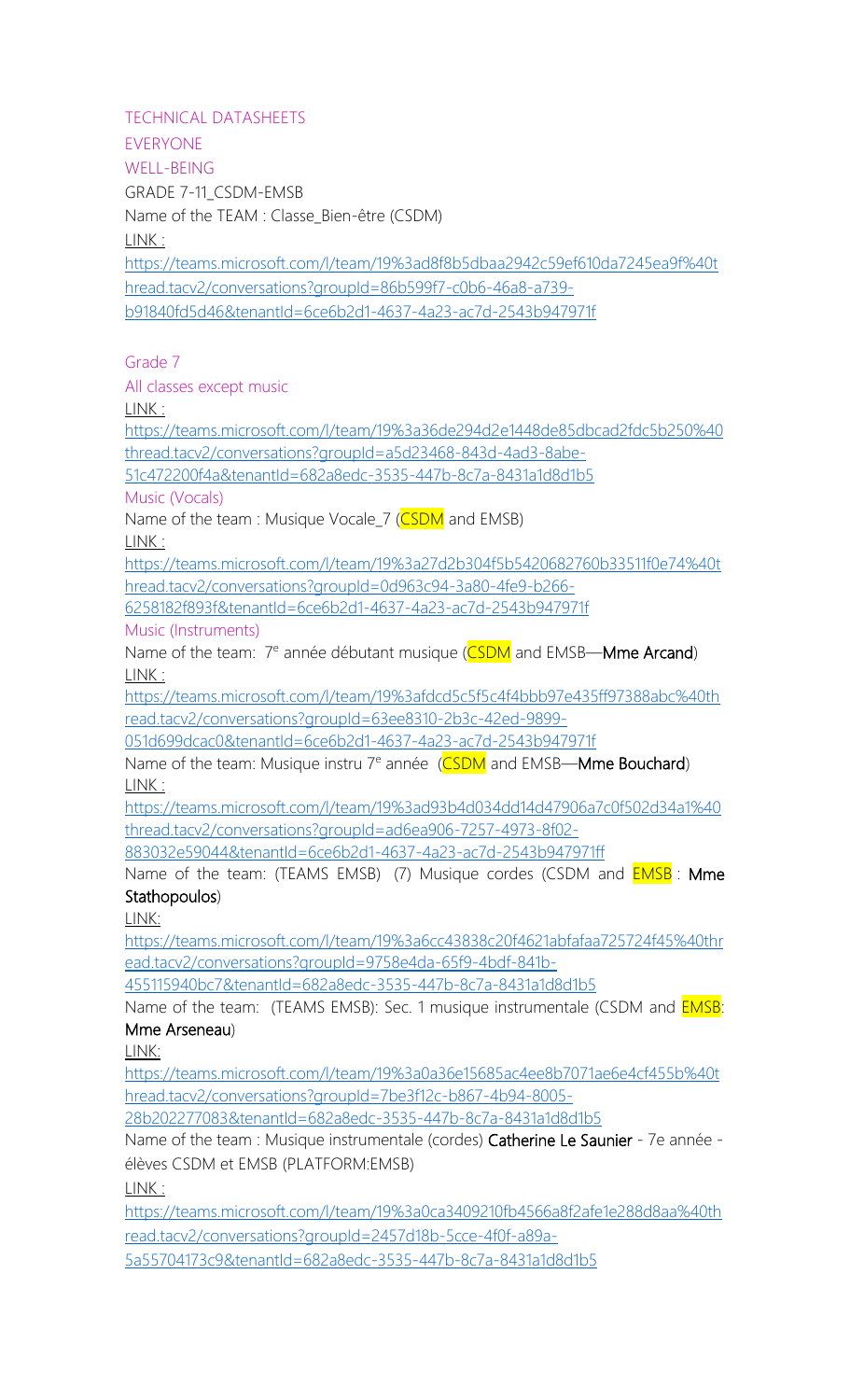<span id="page-2-2"></span><span id="page-2-1"></span><span id="page-2-0"></span>TECHNICAL DATASHEETS

EVERYONE WELL-BEING GRADE 7-11\_CSDM-EMSB Name of the TEAM : Classe\_Bien-être (CSDM) LINK :

[https://teams.microsoft.com/l/team/19%3ad8f8b5dbaa2942c59ef610da7245ea9f%40t](https://teams.microsoft.com/l/team/19%3ad8f8b5dbaa2942c59ef610da7245ea9f%40thread.tacv2/conversations?groupId=86b599f7-c0b6-46a8-a739-b91840fd5d46&tenantId=6ce6b2d1-4637-4a23-ac7d-2543b947971f) [hread.tacv2/conversations?groupId=86b599f7-c0b6-46a8-a739](https://teams.microsoft.com/l/team/19%3ad8f8b5dbaa2942c59ef610da7245ea9f%40thread.tacv2/conversations?groupId=86b599f7-c0b6-46a8-a739-b91840fd5d46&tenantId=6ce6b2d1-4637-4a23-ac7d-2543b947971f) [b91840fd5d46&tenantId=6ce6b2d1-4637-4a23-ac7d-2543b947971f](https://teams.microsoft.com/l/team/19%3ad8f8b5dbaa2942c59ef610da7245ea9f%40thread.tacv2/conversations?groupId=86b599f7-c0b6-46a8-a739-b91840fd5d46&tenantId=6ce6b2d1-4637-4a23-ac7d-2543b947971f)

Grade 7

All classes except music

LINK :

[https://teams.microsoft.com/l/team/19%3a36de294d2e1448de85dbcad2fdc5b250%40](https://teams.microsoft.com/l/team/19%3a36de294d2e1448de85dbcad2fdc5b250%40thread.tacv2/conversations?groupId=a5d23468-843d-4ad3-8abe-51c472200f4a&tenantId=682a8edc-3535-447b-8c7a-8431a1d8d1b5) [thread.tacv2/conversations?groupId=a5d23468-843d-4ad3-8abe-](https://teams.microsoft.com/l/team/19%3a36de294d2e1448de85dbcad2fdc5b250%40thread.tacv2/conversations?groupId=a5d23468-843d-4ad3-8abe-51c472200f4a&tenantId=682a8edc-3535-447b-8c7a-8431a1d8d1b5)

[51c472200f4a&tenantId=682a8edc-3535-447b-8c7a-8431a1d8d1b5](https://teams.microsoft.com/l/team/19%3a36de294d2e1448de85dbcad2fdc5b250%40thread.tacv2/conversations?groupId=a5d23468-843d-4ad3-8abe-51c472200f4a&tenantId=682a8edc-3535-447b-8c7a-8431a1d8d1b5)

Music (Vocals)

Name of the team : Musique Vocale\_7 (CSDM and EMSB)

LINK :

[https://teams.microsoft.com/l/team/19%3a27d2b304f5b5420682760b33511f0e74%40t](https://teams.microsoft.com/l/team/19%3a27d2b304f5b5420682760b33511f0e74%40thread.tacv2/conversations?groupId=0d963c94-3a80-4fe9-b266-6258182f893f&tenantId=6ce6b2d1-4637-4a23-ac7d-2543b947971f) [hread.tacv2/conversations?groupId=0d963c94-3a80-4fe9-b266-](https://teams.microsoft.com/l/team/19%3a27d2b304f5b5420682760b33511f0e74%40thread.tacv2/conversations?groupId=0d963c94-3a80-4fe9-b266-6258182f893f&tenantId=6ce6b2d1-4637-4a23-ac7d-2543b947971f)

[6258182f893f&tenantId=6ce6b2d1-4637-4a23-ac7d-2543b947971f](https://teams.microsoft.com/l/team/19%3a27d2b304f5b5420682760b33511f0e74%40thread.tacv2/conversations?groupId=0d963c94-3a80-4fe9-b266-6258182f893f&tenantId=6ce6b2d1-4637-4a23-ac7d-2543b947971f)

Music (Instruments)

Name of the team: 7<sup>e</sup> année débutant musique (CSDM and EMSB—Mme Arcand) LINK :

[https://teams.microsoft.com/l/team/19%3afdcd5c5f5c4f4bbb97e435ff97388abc%40th](https://teams.microsoft.com/l/team/19%3afdcd5c5f5c4f4bbb97e435ff97388abc%40thread.tacv2/conversations?groupId=63ee8310-2b3c-42ed-9899-051d699dcac0&tenantId=6ce6b2d1-4637-4a23-ac7d-2543b947971f) [read.tacv2/conversations?groupId=63ee8310-2b3c-42ed-9899-](https://teams.microsoft.com/l/team/19%3afdcd5c5f5c4f4bbb97e435ff97388abc%40thread.tacv2/conversations?groupId=63ee8310-2b3c-42ed-9899-051d699dcac0&tenantId=6ce6b2d1-4637-4a23-ac7d-2543b947971f)

[051d699dcac0&tenantId=6ce6b2d1-4637-4a23-ac7d-2543b947971f](https://teams.microsoft.com/l/team/19%3afdcd5c5f5c4f4bbb97e435ff97388abc%40thread.tacv2/conversations?groupId=63ee8310-2b3c-42ed-9899-051d699dcac0&tenantId=6ce6b2d1-4637-4a23-ac7d-2543b947971f)

Name of the team: Musique instru 7<sup>e</sup> année (CSDM and EMSB—Mme Bouchard) LINK :

[https://teams.microsoft.com/l/team/19%3ad93b4d034dd14d47906a7c0f502d34a1%40](https://teams.microsoft.com/l/team/19%3ad93b4d034dd14d47906a7c0f502d34a1%40thread.tacv2/conversations?groupId=ad6ea906-7257-4973-8f02-883032e59044&tenantId=6ce6b2d1-4637-4a23-ac7d-2543b947971ff) [thread.tacv2/conversations?groupId=ad6ea906-7257-4973-8f02-](https://teams.microsoft.com/l/team/19%3ad93b4d034dd14d47906a7c0f502d34a1%40thread.tacv2/conversations?groupId=ad6ea906-7257-4973-8f02-883032e59044&tenantId=6ce6b2d1-4637-4a23-ac7d-2543b947971ff)

[883032e59044&tenantId=6ce6b2d1-4637-4a23-ac7d-2543b947971ff](https://teams.microsoft.com/l/team/19%3ad93b4d034dd14d47906a7c0f502d34a1%40thread.tacv2/conversations?groupId=ad6ea906-7257-4973-8f02-883032e59044&tenantId=6ce6b2d1-4637-4a23-ac7d-2543b947971ff)

Name of the team: (TEAMS EMSB) (7) Musique cordes (CSDM and **EMSB**: **Mme** Stathopoulos)

LINK:

[https://teams.microsoft.com/l/team/19%3a6cc43838c20f4621abfafaa725724f45%40thr](https://teams.microsoft.com/l/team/19%3a6cc43838c20f4621abfafaa725724f45%40thread.tacv2/conversations?groupId=9758e4da-65f9-4bdf-841b-455115940bc7&tenantId=682a8edc-3535-447b-8c7a-8431a1d8d1b5) [ead.tacv2/conversations?groupId=9758e4da-65f9-4bdf-841b-](https://teams.microsoft.com/l/team/19%3a6cc43838c20f4621abfafaa725724f45%40thread.tacv2/conversations?groupId=9758e4da-65f9-4bdf-841b-455115940bc7&tenantId=682a8edc-3535-447b-8c7a-8431a1d8d1b5)

[455115940bc7&tenantId=682a8edc-3535-447b-8c7a-8431a1d8d1b5](https://teams.microsoft.com/l/team/19%3a6cc43838c20f4621abfafaa725724f45%40thread.tacv2/conversations?groupId=9758e4da-65f9-4bdf-841b-455115940bc7&tenantId=682a8edc-3535-447b-8c7a-8431a1d8d1b5)

Name of the team: (TEAMS EMSB): Sec. 1 musique instrumentale (CSDM and **EMSB**: Mme Arseneau)

LINK:

[https://teams.microsoft.com/l/team/19%3a0a36e15685ac4ee8b7071ae6e4cf455b%40t](https://teams.microsoft.com/l/team/19%3a0a36e15685ac4ee8b7071ae6e4cf455b%40thread.tacv2/conversations?groupId=7be3f12c-b867-4b94-8005-28b202277083&tenantId=682a8edc-3535-447b-8c7a-8431a1d8d1b5) [hread.tacv2/conversations?groupId=7be3f12c-b867-4b94-8005-](https://teams.microsoft.com/l/team/19%3a0a36e15685ac4ee8b7071ae6e4cf455b%40thread.tacv2/conversations?groupId=7be3f12c-b867-4b94-8005-28b202277083&tenantId=682a8edc-3535-447b-8c7a-8431a1d8d1b5)

[28b202277083&tenantId=682a8edc-3535-447b-8c7a-8431a1d8d1b5](https://teams.microsoft.com/l/team/19%3a0a36e15685ac4ee8b7071ae6e4cf455b%40thread.tacv2/conversations?groupId=7be3f12c-b867-4b94-8005-28b202277083&tenantId=682a8edc-3535-447b-8c7a-8431a1d8d1b5)

Name of the team : Musique instrumentale (cordes) Catherine Le Saunier - 7e année élèves CSDM et EMSB (PLATFORM:EMSB)

LINK :

[https://teams.microsoft.com/l/team/19%3a0ca3409210fb4566a8f2afe1e288d8aa%40th](https://teams.microsoft.com/l/team/19%3a0ca3409210fb4566a8f2afe1e288d8aa%40thread.tacv2/conversations?groupId=2457d18b-5cce-4f0f-a89a-5a55704173c9&tenantId=682a8edc-3535-447b-8c7a-8431a1d8d1b5) [read.tacv2/conversations?groupId=2457d18b-5cce-4f0f-a89a-](https://teams.microsoft.com/l/team/19%3a0ca3409210fb4566a8f2afe1e288d8aa%40thread.tacv2/conversations?groupId=2457d18b-5cce-4f0f-a89a-5a55704173c9&tenantId=682a8edc-3535-447b-8c7a-8431a1d8d1b5)

[5a55704173c9&tenantId=682a8edc-3535-447b-8c7a-8431a1d8d1b5](https://teams.microsoft.com/l/team/19%3a0ca3409210fb4566a8f2afe1e288d8aa%40thread.tacv2/conversations?groupId=2457d18b-5cce-4f0f-a89a-5a55704173c9&tenantId=682a8edc-3535-447b-8c7a-8431a1d8d1b5)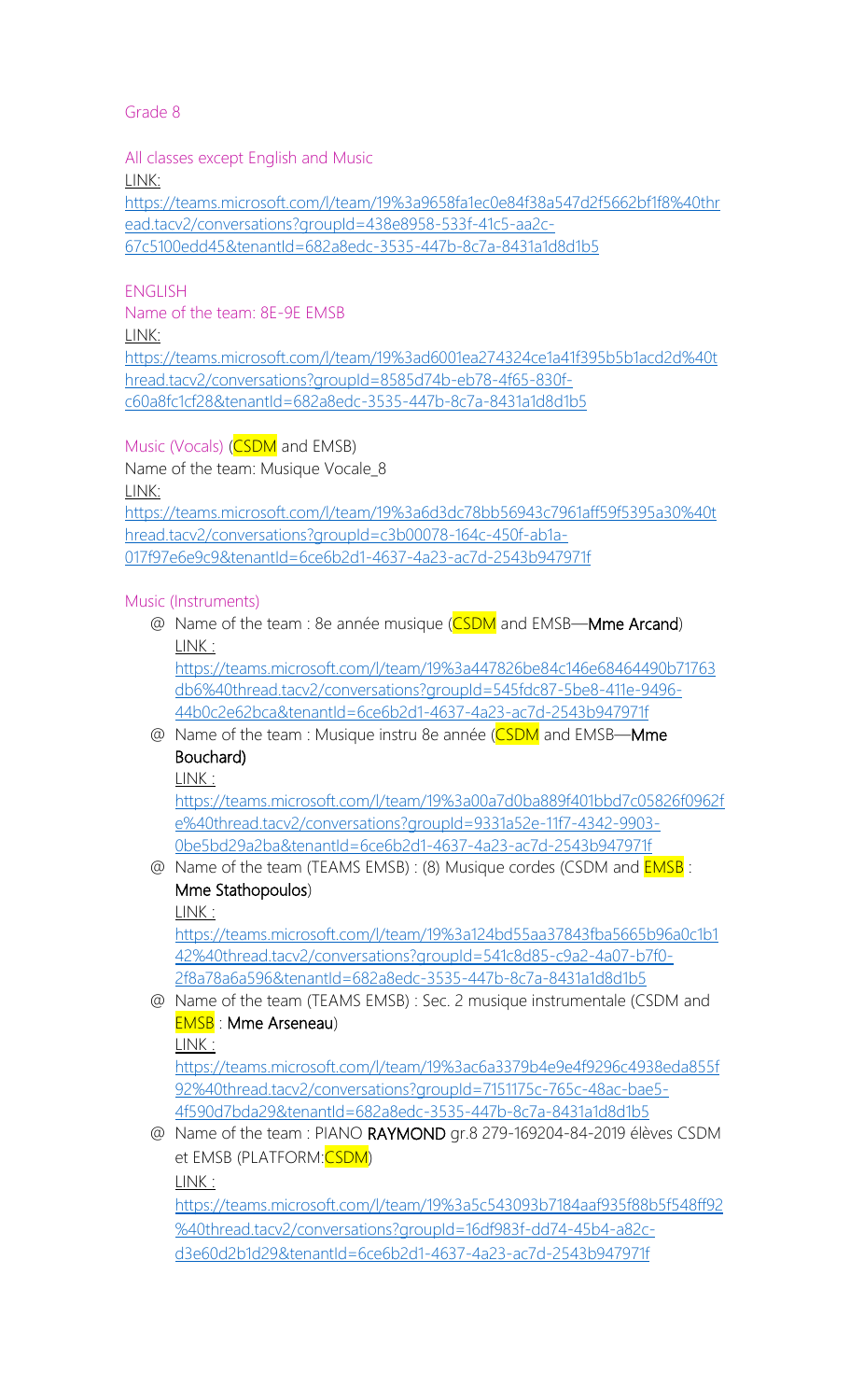<span id="page-3-0"></span>All classes except English and Music

LINK:

[https://teams.microsoft.com/l/team/19%3a9658fa1ec0e84f38a547d2f5662bf1f8%40thr](https://teams.microsoft.com/l/team/19%3a9658fa1ec0e84f38a547d2f5662bf1f8%40thread.tacv2/conversations?groupId=438e8958-533f-41c5-aa2c-67c5100edd45&tenantId=682a8edc-3535-447b-8c7a-8431a1d8d1b5) [ead.tacv2/conversations?groupId=438e8958-533f-41c5-aa2c-](https://teams.microsoft.com/l/team/19%3a9658fa1ec0e84f38a547d2f5662bf1f8%40thread.tacv2/conversations?groupId=438e8958-533f-41c5-aa2c-67c5100edd45&tenantId=682a8edc-3535-447b-8c7a-8431a1d8d1b5)[67c5100edd45&tenantId=682a8edc-3535-447b-8c7a-8431a1d8d1b5](https://teams.microsoft.com/l/team/19%3a9658fa1ec0e84f38a547d2f5662bf1f8%40thread.tacv2/conversations?groupId=438e8958-533f-41c5-aa2c-67c5100edd45&tenantId=682a8edc-3535-447b-8c7a-8431a1d8d1b5)

## ENGLISH

LINK: [https://teams.microsoft.com/l/team/19%3ad6001ea274324ce1a41f395b5b1acd2d%40t](https://teams.microsoft.com/l/team/19%3ad6001ea274324ce1a41f395b5b1acd2d%40thread.tacv2/conversations?groupId=8585d74b-eb78-4f65-830f-c60a8fc1cf28&tenantId=682a8edc-3535-447b-8c7a-8431a1d8d1b5) [hread.tacv2/conversations?groupId=8585d74b-eb78-4f65-830f](https://teams.microsoft.com/l/team/19%3ad6001ea274324ce1a41f395b5b1acd2d%40thread.tacv2/conversations?groupId=8585d74b-eb78-4f65-830f-c60a8fc1cf28&tenantId=682a8edc-3535-447b-8c7a-8431a1d8d1b5)[c60a8fc1cf28&tenantId=682a8edc-3535-447b-8c7a-8431a1d8d1b5](https://teams.microsoft.com/l/team/19%3ad6001ea274324ce1a41f395b5b1acd2d%40thread.tacv2/conversations?groupId=8585d74b-eb78-4f65-830f-c60a8fc1cf28&tenantId=682a8edc-3535-447b-8c7a-8431a1d8d1b5)

Music (Vocals) (CSDM and EMSB)

Name of the team: 8E-9E EMSB

Name of the team: Musique Vocale 8

LINK:

[https://teams.microsoft.com/l/team/19%3a6d3dc78bb56943c7961aff59f5395a30%40t](https://teams.microsoft.com/l/team/19%3a6d3dc78bb56943c7961aff59f5395a30%40thread.tacv2/conversations?groupId=c3b00078-164c-450f-ab1a-017f97e6e9c9&tenantId=6ce6b2d1-4637-4a23-ac7d-2543b947971f) [hread.tacv2/conversations?groupId=c3b00078-164c-450f-ab1a-](https://teams.microsoft.com/l/team/19%3a6d3dc78bb56943c7961aff59f5395a30%40thread.tacv2/conversations?groupId=c3b00078-164c-450f-ab1a-017f97e6e9c9&tenantId=6ce6b2d1-4637-4a23-ac7d-2543b947971f)[017f97e6e9c9&tenantId=6ce6b2d1-4637-4a23-ac7d-2543b947971f](https://teams.microsoft.com/l/team/19%3a6d3dc78bb56943c7961aff59f5395a30%40thread.tacv2/conversations?groupId=c3b00078-164c-450f-ab1a-017f97e6e9c9&tenantId=6ce6b2d1-4637-4a23-ac7d-2543b947971f)

#### Music (Instruments)

@ Name of the team : 8e année musique (CSDM and EMSB—Mme Arcand) LINK :

[https://teams.microsoft.com/l/team/19%3a447826be84c146e68464490b71763](https://teams.microsoft.com/l/team/19%3a447826be84c146e68464490b71763db6%40thread.tacv2/conversations?groupId=545fdc87-5be8-411e-9496-44b0c2e62bca&tenantId=6ce6b2d1-4637-4a23-ac7d-2543b947971f) [db6%40thread.tacv2/conversations?groupId=545fdc87-5be8-411e-9496-](https://teams.microsoft.com/l/team/19%3a447826be84c146e68464490b71763db6%40thread.tacv2/conversations?groupId=545fdc87-5be8-411e-9496-44b0c2e62bca&tenantId=6ce6b2d1-4637-4a23-ac7d-2543b947971f) [44b0c2e62bca&tenantId=6ce6b2d1-4637-4a23-ac7d-2543b947971f](https://teams.microsoft.com/l/team/19%3a447826be84c146e68464490b71763db6%40thread.tacv2/conversations?groupId=545fdc87-5be8-411e-9496-44b0c2e62bca&tenantId=6ce6b2d1-4637-4a23-ac7d-2543b947971f)

@ Name of the team : Musique instru 8e année (CSDM and EMSB—Mme Bouchard)

LINK :

[https://teams.microsoft.com/l/team/19%3a00a7d0ba889f401bbd7c05826f0962f](https://teams.microsoft.com/l/team/19%3a00a7d0ba889f401bbd7c05826f0962fe%40thread.tacv2/conversations?groupId=9331a52e-11f7-4342-9903-0be5bd29a2ba&tenantId=6ce6b2d1-4637-4a23-ac7d-2543b947971f) [e%40thread.tacv2/conversations?groupId=9331a52e-11f7-4342-9903-](https://teams.microsoft.com/l/team/19%3a00a7d0ba889f401bbd7c05826f0962fe%40thread.tacv2/conversations?groupId=9331a52e-11f7-4342-9903-0be5bd29a2ba&tenantId=6ce6b2d1-4637-4a23-ac7d-2543b947971f) [0be5bd29a2ba&tenantId=6ce6b2d1-4637-4a23-ac7d-2543b947971f](https://teams.microsoft.com/l/team/19%3a00a7d0ba889f401bbd7c05826f0962fe%40thread.tacv2/conversations?groupId=9331a52e-11f7-4342-9903-0be5bd29a2ba&tenantId=6ce6b2d1-4637-4a23-ac7d-2543b947971f)

@ Name of the team (TEAMS EMSB) : (8) Musique cordes (CSDM and **EMSB** : Mme Stathopoulos)

LINK :

[https://teams.microsoft.com/l/team/19%3a124bd55aa37843fba5665b96a0c1b1](https://teams.microsoft.com/l/team/19%3a124bd55aa37843fba5665b96a0c1b142%40thread.tacv2/conversations?groupId=541c8d85-c9a2-4a07-b7f0-2f8a78a6a596&tenantId=682a8edc-3535-447b-8c7a-8431a1d8d1b5) [42%40thread.tacv2/conversations?groupId=541c8d85-c9a2-4a07-b7f0-](https://teams.microsoft.com/l/team/19%3a124bd55aa37843fba5665b96a0c1b142%40thread.tacv2/conversations?groupId=541c8d85-c9a2-4a07-b7f0-2f8a78a6a596&tenantId=682a8edc-3535-447b-8c7a-8431a1d8d1b5) [2f8a78a6a596&tenantId=682a8edc-3535-447b-8c7a-8431a1d8d1b5](https://teams.microsoft.com/l/team/19%3a124bd55aa37843fba5665b96a0c1b142%40thread.tacv2/conversations?groupId=541c8d85-c9a2-4a07-b7f0-2f8a78a6a596&tenantId=682a8edc-3535-447b-8c7a-8431a1d8d1b5)

@ Name of the team (TEAMS EMSB) : Sec. 2 musique instrumentale (CSDM and EMSB : Mme Arseneau)

LINK : [https://teams.microsoft.com/l/team/19%3ac6a3379b4e9e4f9296c4938eda855f](https://teams.microsoft.com/l/team/19%3ac6a3379b4e9e4f9296c4938eda855f92%40thread.tacv2/conversations?groupId=7151175c-765c-48ac-bae5-4f590d7bda29&tenantId=682a8edc-3535-447b-8c7a-8431a1d8d1b5) [92%40thread.tacv2/conversations?groupId=7151175c-765c-48ac-bae5-](https://teams.microsoft.com/l/team/19%3ac6a3379b4e9e4f9296c4938eda855f92%40thread.tacv2/conversations?groupId=7151175c-765c-48ac-bae5-4f590d7bda29&tenantId=682a8edc-3535-447b-8c7a-8431a1d8d1b5) [4f590d7bda29&tenantId=682a8edc-3535-447b-8c7a-8431a1d8d1b5](https://teams.microsoft.com/l/team/19%3ac6a3379b4e9e4f9296c4938eda855f92%40thread.tacv2/conversations?groupId=7151175c-765c-48ac-bae5-4f590d7bda29&tenantId=682a8edc-3535-447b-8c7a-8431a1d8d1b5)

@ Name of the team : PIANO RAYMOND gr.8 279-169204-84-2019 élèves CSDM et EMSB (PLATFORM:CSDM)

LINK :

[https://teams.microsoft.com/l/team/19%3a5c543093b7184aaf935f88b5f548ff92](https://teams.microsoft.com/l/team/19%3a5c543093b7184aaf935f88b5f548ff92%40thread.tacv2/conversations?groupId=16df983f-dd74-45b4-a82c-d3e60d2b1d29&tenantId=6ce6b2d1-4637-4a23-ac7d-2543b947971f) [%40thread.tacv2/conversations?groupId=16df983f-dd74-45b4-a82c](https://teams.microsoft.com/l/team/19%3a5c543093b7184aaf935f88b5f548ff92%40thread.tacv2/conversations?groupId=16df983f-dd74-45b4-a82c-d3e60d2b1d29&tenantId=6ce6b2d1-4637-4a23-ac7d-2543b947971f)[d3e60d2b1d29&tenantId=6ce6b2d1-4637-4a23-ac7d-2543b947971f](https://teams.microsoft.com/l/team/19%3a5c543093b7184aaf935f88b5f548ff92%40thread.tacv2/conversations?groupId=16df983f-dd74-45b4-a82c-d3e60d2b1d29&tenantId=6ce6b2d1-4637-4a23-ac7d-2543b947971f)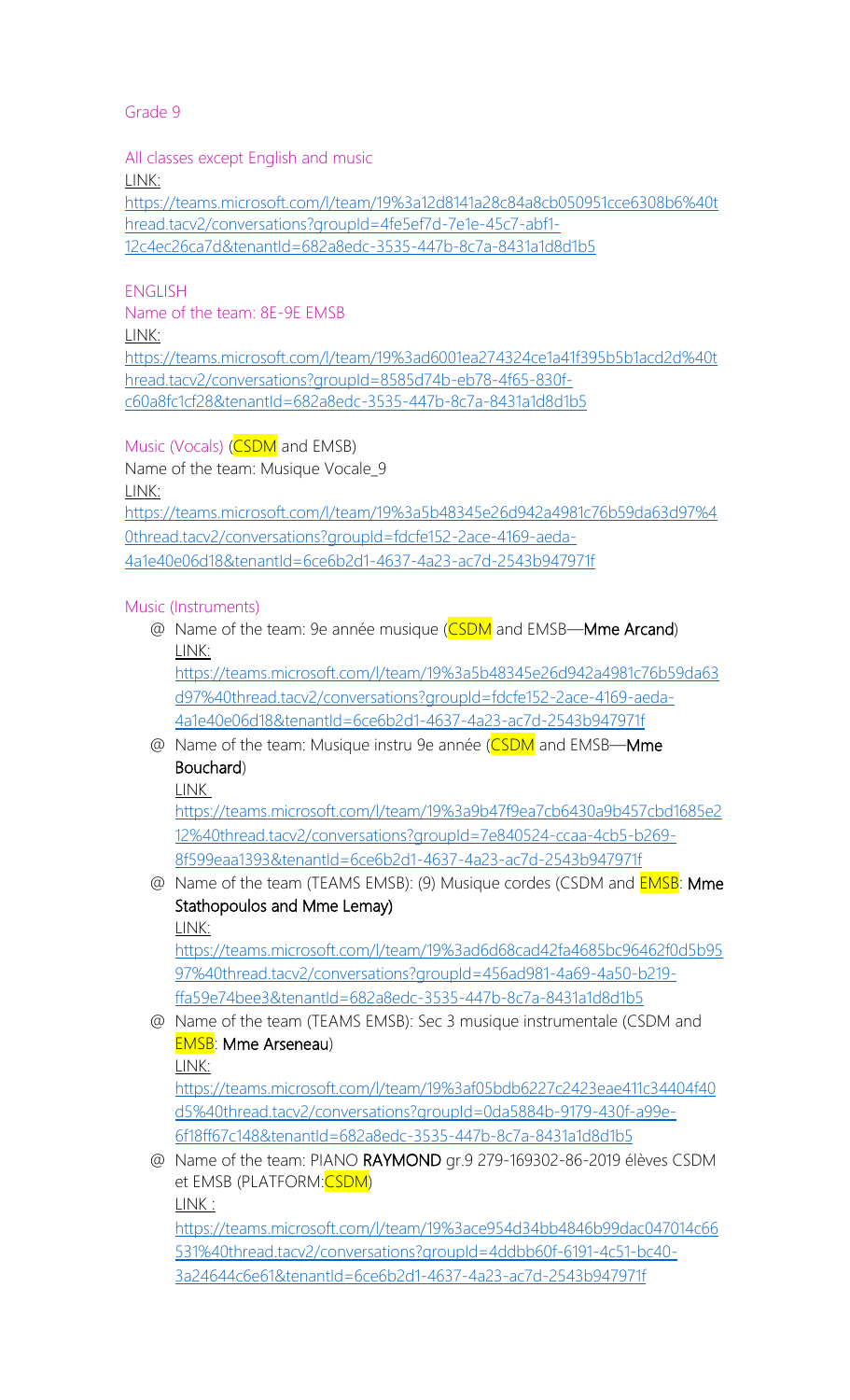<span id="page-4-0"></span>All classes except English and music

LINK:

[https://teams.microsoft.com/l/team/19%3a12d8141a28c84a8cb050951cce6308b6%40t](https://teams.microsoft.com/l/team/19%3a12d8141a28c84a8cb050951cce6308b6%40thread.tacv2/conversations?groupId=4fe5ef7d-7e1e-45c7-abf1-12c4ec26ca7d&tenantId=682a8edc-3535-447b-8c7a-8431a1d8d1b5) [hread.tacv2/conversations?groupId=4fe5ef7d-7e1e-45c7-abf1-](https://teams.microsoft.com/l/team/19%3a12d8141a28c84a8cb050951cce6308b6%40thread.tacv2/conversations?groupId=4fe5ef7d-7e1e-45c7-abf1-12c4ec26ca7d&tenantId=682a8edc-3535-447b-8c7a-8431a1d8d1b5) [12c4ec26ca7d&tenantId=682a8edc-3535-447b-8c7a-8431a1d8d1b5](https://teams.microsoft.com/l/team/19%3a12d8141a28c84a8cb050951cce6308b6%40thread.tacv2/conversations?groupId=4fe5ef7d-7e1e-45c7-abf1-12c4ec26ca7d&tenantId=682a8edc-3535-447b-8c7a-8431a1d8d1b5)

## ENGLISH

Name of the team: 8E-9E EMSB LINK: [https://teams.microsoft.com/l/team/19%3ad6001ea274324ce1a41f395b5b1acd2d%40t](https://teams.microsoft.com/l/team/19%3ad6001ea274324ce1a41f395b5b1acd2d%40thread.tacv2/conversations?groupId=8585d74b-eb78-4f65-830f-c60a8fc1cf28&tenantId=682a8edc-3535-447b-8c7a-8431a1d8d1b5) [hread.tacv2/conversations?groupId=8585d74b-eb78-4f65-830f](https://teams.microsoft.com/l/team/19%3ad6001ea274324ce1a41f395b5b1acd2d%40thread.tacv2/conversations?groupId=8585d74b-eb78-4f65-830f-c60a8fc1cf28&tenantId=682a8edc-3535-447b-8c7a-8431a1d8d1b5)[c60a8fc1cf28&tenantId=682a8edc-3535-447b-8c7a-8431a1d8d1b5](https://teams.microsoft.com/l/team/19%3ad6001ea274324ce1a41f395b5b1acd2d%40thread.tacv2/conversations?groupId=8585d74b-eb78-4f65-830f-c60a8fc1cf28&tenantId=682a8edc-3535-447b-8c7a-8431a1d8d1b5)

Music (Vocals) (CSDM and EMSB)

Name of the team: Musique Vocale 9

LINK:

[https://teams.microsoft.com/l/team/19%3a5b48345e26d942a4981c76b59da63d97%4](https://teams.microsoft.com/l/team/19%3a5b48345e26d942a4981c76b59da63d97%40thread.tacv2/conversations?groupId=fdcfe152-2ace-4169-aeda-4a1e40e06d18&tenantId=6ce6b2d1-4637-4a23-ac7d-2543b947971f) [0thread.tacv2/conversations?groupId=fdcfe152-2ace-4169-aeda-](https://teams.microsoft.com/l/team/19%3a5b48345e26d942a4981c76b59da63d97%40thread.tacv2/conversations?groupId=fdcfe152-2ace-4169-aeda-4a1e40e06d18&tenantId=6ce6b2d1-4637-4a23-ac7d-2543b947971f)[4a1e40e06d18&tenantId=6ce6b2d1-4637-4a23-ac7d-2543b947971f](https://teams.microsoft.com/l/team/19%3a5b48345e26d942a4981c76b59da63d97%40thread.tacv2/conversations?groupId=fdcfe152-2ace-4169-aeda-4a1e40e06d18&tenantId=6ce6b2d1-4637-4a23-ac7d-2543b947971f)

#### Music (Instruments)

@ Name of the team: 9e année musique (CSDM and EMSB—Mme Arcand) LINK:

[https://teams.microsoft.com/l/team/19%3a5b48345e26d942a4981c76b59da63](https://teams.microsoft.com/l/team/19%3a5b48345e26d942a4981c76b59da63d97%40thread.tacv2/conversations?groupId=fdcfe152-2ace-4169-aeda-4a1e40e06d18&tenantId=6ce6b2d1-4637-4a23-ac7d-2543b947971f) [d97%40thread.tacv2/conversations?groupId=fdcfe152-2ace-4169-aeda-](https://teams.microsoft.com/l/team/19%3a5b48345e26d942a4981c76b59da63d97%40thread.tacv2/conversations?groupId=fdcfe152-2ace-4169-aeda-4a1e40e06d18&tenantId=6ce6b2d1-4637-4a23-ac7d-2543b947971f)[4a1e40e06d18&tenantId=6ce6b2d1-4637-4a23-ac7d-2543b947971f](https://teams.microsoft.com/l/team/19%3a5b48345e26d942a4981c76b59da63d97%40thread.tacv2/conversations?groupId=fdcfe152-2ace-4169-aeda-4a1e40e06d18&tenantId=6ce6b2d1-4637-4a23-ac7d-2543b947971f)

@ Name of the team: Musique instru 9e année (CSDM and EMSB—Mme Bouchard)

LINK

[https://teams.microsoft.com/l/team/19%3a9b47f9ea7cb6430a9b457cbd1685e2](https://teams.microsoft.com/l/team/19%3a9b47f9ea7cb6430a9b457cbd1685e212%40thread.tacv2/conversations?groupId=7e840524-ccaa-4cb5-b269-8f599eaa1393&tenantId=6ce6b2d1-4637-4a23-ac7d-2543b947971f) [12%40thread.tacv2/conversations?groupId=7e840524-ccaa-4cb5-b269-](https://teams.microsoft.com/l/team/19%3a9b47f9ea7cb6430a9b457cbd1685e212%40thread.tacv2/conversations?groupId=7e840524-ccaa-4cb5-b269-8f599eaa1393&tenantId=6ce6b2d1-4637-4a23-ac7d-2543b947971f) [8f599eaa1393&tenantId=6ce6b2d1-4637-4a23-ac7d-2543b947971f](https://teams.microsoft.com/l/team/19%3a9b47f9ea7cb6430a9b457cbd1685e212%40thread.tacv2/conversations?groupId=7e840524-ccaa-4cb5-b269-8f599eaa1393&tenantId=6ce6b2d1-4637-4a23-ac7d-2543b947971f)

@ Name of the team (TEAMS EMSB): (9) Musique cordes (CSDM and **EMSB**: **Mme** Stathopoulos and Mme Lemay) LINK:

[https://teams.microsoft.com/l/team/19%3ad6d68cad42fa4685bc96462f0d5b95](https://teams.microsoft.com/l/team/19%3ad6d68cad42fa4685bc96462f0d5b9597%40thread.tacv2/conversations?groupId=456ad981-4a69-4a50-b219-ffa59e74bee3&tenantId=682a8edc-3535-447b-8c7a-8431a1d8d1b5) [97%40thread.tacv2/conversations?groupId=456ad981-4a69-4a50-b219](https://teams.microsoft.com/l/team/19%3ad6d68cad42fa4685bc96462f0d5b9597%40thread.tacv2/conversations?groupId=456ad981-4a69-4a50-b219-ffa59e74bee3&tenantId=682a8edc-3535-447b-8c7a-8431a1d8d1b5) [ffa59e74bee3&tenantId=682a8edc-3535-447b-8c7a-8431a1d8d1b5](https://teams.microsoft.com/l/team/19%3ad6d68cad42fa4685bc96462f0d5b9597%40thread.tacv2/conversations?groupId=456ad981-4a69-4a50-b219-ffa59e74bee3&tenantId=682a8edc-3535-447b-8c7a-8431a1d8d1b5)

@ Name of the team (TEAMS EMSB): Sec 3 musique instrumentale (CSDM and EMSB: Mme Arseneau)

LINK:

[https://teams.microsoft.com/l/team/19%3af05bdb6227c2423eae411c34404f40](https://teams.microsoft.com/l/team/19%3af05bdb6227c2423eae411c34404f40d5%40thread.tacv2/conversations?groupId=0da5884b-9179-430f-a99e-6f18ff67c148&tenantId=682a8edc-3535-447b-8c7a-8431a1d8d1b5) [d5%40thread.tacv2/conversations?groupId=0da5884b-9179-430f-a99e-](https://teams.microsoft.com/l/team/19%3af05bdb6227c2423eae411c34404f40d5%40thread.tacv2/conversations?groupId=0da5884b-9179-430f-a99e-6f18ff67c148&tenantId=682a8edc-3535-447b-8c7a-8431a1d8d1b5)[6f18ff67c148&tenantId=682a8edc-3535-447b-8c7a-8431a1d8d1b5](https://teams.microsoft.com/l/team/19%3af05bdb6227c2423eae411c34404f40d5%40thread.tacv2/conversations?groupId=0da5884b-9179-430f-a99e-6f18ff67c148&tenantId=682a8edc-3535-447b-8c7a-8431a1d8d1b5)

@ Name of the team: PIANO RAYMOND gr.9 279-169302-86-2019 élèves CSDM et EMSB (PLATFORM: CSDM) LINK :

[https://teams.microsoft.com/l/team/19%3ace954d34bb4846b99dac047014c66](https://teams.microsoft.com/l/team/19%3ace954d34bb4846b99dac047014c66531%40thread.tacv2/conversations?groupId=4ddbb60f-6191-4c51-bc40-3a24644c6e61&tenantId=6ce6b2d1-4637-4a23-ac7d-2543b947971f) [531%40thread.tacv2/conversations?groupId=4ddbb60f-6191-4c51-bc40-](https://teams.microsoft.com/l/team/19%3ace954d34bb4846b99dac047014c66531%40thread.tacv2/conversations?groupId=4ddbb60f-6191-4c51-bc40-3a24644c6e61&tenantId=6ce6b2d1-4637-4a23-ac7d-2543b947971f) [3a24644c6e61&tenantId=6ce6b2d1-4637-4a23-ac7d-2543b947971f](https://teams.microsoft.com/l/team/19%3ace954d34bb4846b99dac047014c66531%40thread.tacv2/conversations?groupId=4ddbb60f-6191-4c51-bc40-3a24644c6e61&tenantId=6ce6b2d1-4637-4a23-ac7d-2543b947971f)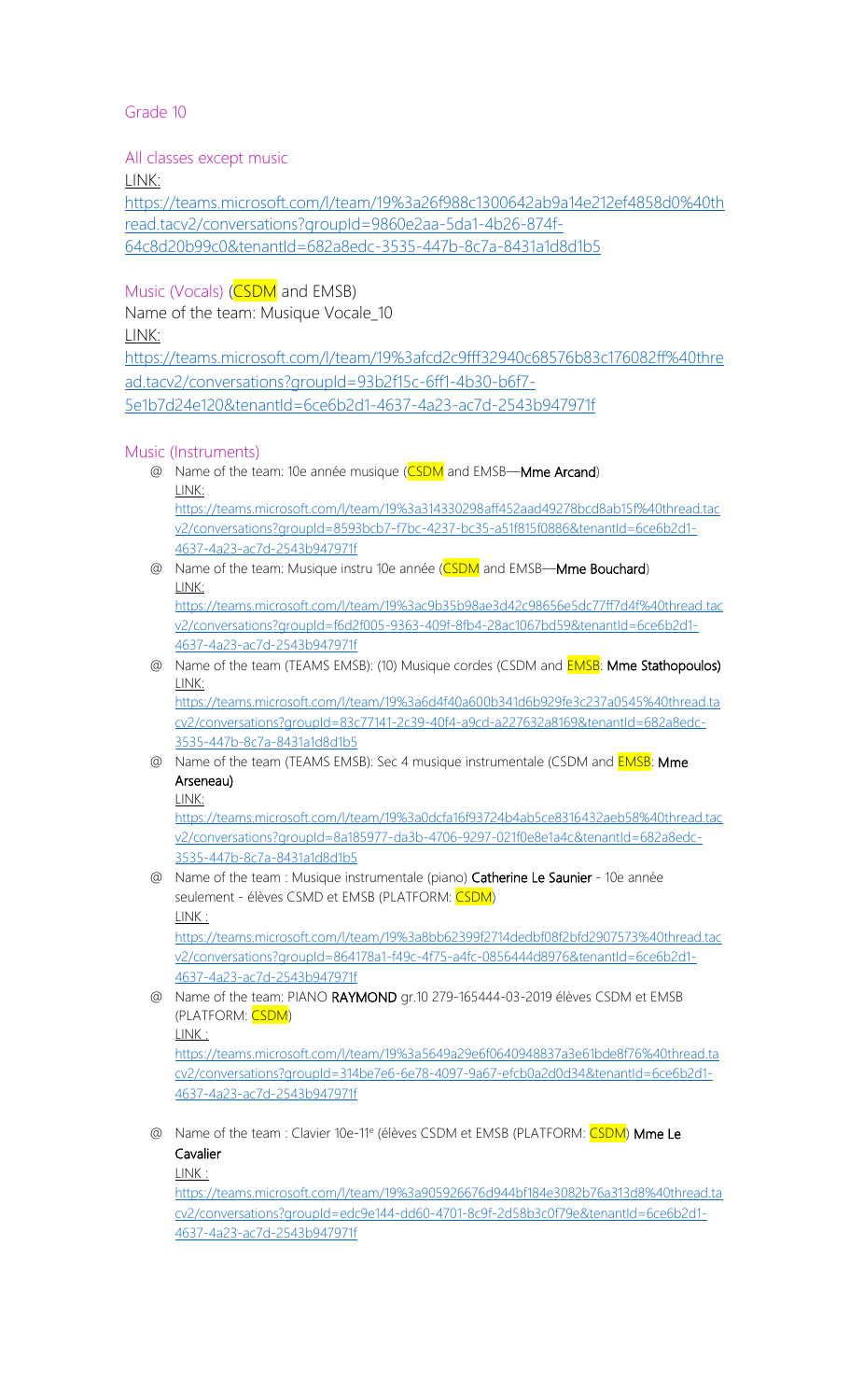<span id="page-5-0"></span>All classes except music

LINK:

[https://teams.microsoft.com/l/team/19%3a26f988c1300642ab9a14e212ef4858d0%40th](https://teams.microsoft.com/l/team/19%3a26f988c1300642ab9a14e212ef4858d0%40thread.tacv2/conversations?groupId=9860e2aa-5da1-4b26-874f-64c8d20b99c0&tenantId=682a8edc-3535-447b-8c7a-8431a1d8d1b5) [read.tacv2/conversations?groupId=9860e2aa-5da1-4b26-874f-](https://teams.microsoft.com/l/team/19%3a26f988c1300642ab9a14e212ef4858d0%40thread.tacv2/conversations?groupId=9860e2aa-5da1-4b26-874f-64c8d20b99c0&tenantId=682a8edc-3535-447b-8c7a-8431a1d8d1b5)[64c8d20b99c0&tenantId=682a8edc-3535-447b-8c7a-8431a1d8d1b5](https://teams.microsoft.com/l/team/19%3a26f988c1300642ab9a14e212ef4858d0%40thread.tacv2/conversations?groupId=9860e2aa-5da1-4b26-874f-64c8d20b99c0&tenantId=682a8edc-3535-447b-8c7a-8431a1d8d1b5)

## Music (Vocals) (**CSDM** and EMSB)

Name of the team: Musique Vocale 10 LINK:

[https://teams.microsoft.com/l/team/19%3afcd2c9fff32940c68576b83c176082ff%40thre](https://teams.microsoft.com/l/team/19%3afcd2c9fff32940c68576b83c176082ff%40thread.tacv2/conversations?groupId=93b2f15c-6ff1-4b30-b6f7-5e1b7d24e120&tenantId=6ce6b2d1-4637-4a23-ac7d-2543b947971f) [ad.tacv2/conversations?groupId=93b2f15c-6ff1-4b30-b6f7-](https://teams.microsoft.com/l/team/19%3afcd2c9fff32940c68576b83c176082ff%40thread.tacv2/conversations?groupId=93b2f15c-6ff1-4b30-b6f7-5e1b7d24e120&tenantId=6ce6b2d1-4637-4a23-ac7d-2543b947971f) [5e1b7d24e120&tenantId=6ce6b2d1-4637-4a23-ac7d-2543b947971f](https://teams.microsoft.com/l/team/19%3afcd2c9fff32940c68576b83c176082ff%40thread.tacv2/conversations?groupId=93b2f15c-6ff1-4b30-b6f7-5e1b7d24e120&tenantId=6ce6b2d1-4637-4a23-ac7d-2543b947971f)

#### Music (Instruments)

- @ Name of the team: 10e année musique (CSDM and EMSB—Mme Arcand) LINK: [https://teams.microsoft.com/l/team/19%3a314330298aff452aad49278bcd8ab15f%40thread.tac](https://teams.microsoft.com/l/team/19%3a314330298aff452aad49278bcd8ab15f%40thread.tacv2/conversations?groupId=8593bcb7-f7bc-4237-bc35-a51f815f0886&tenantId=6ce6b2d1-4637-4a23-ac7d-2543b947971f) [v2/conversations?groupId=8593bcb7-f7bc-4237-bc35-a51f815f0886&tenantId=6ce6b2d1-](https://teams.microsoft.com/l/team/19%3a314330298aff452aad49278bcd8ab15f%40thread.tacv2/conversations?groupId=8593bcb7-f7bc-4237-bc35-a51f815f0886&tenantId=6ce6b2d1-4637-4a23-ac7d-2543b947971f) [4637-4a23-ac7d-2543b947971f](https://teams.microsoft.com/l/team/19%3a314330298aff452aad49278bcd8ab15f%40thread.tacv2/conversations?groupId=8593bcb7-f7bc-4237-bc35-a51f815f0886&tenantId=6ce6b2d1-4637-4a23-ac7d-2543b947971f)
- @ Name of the team: Musique instru 10e année (CSDM and EMSB—Mme Bouchard) LINK:

[https://teams.microsoft.com/l/team/19%3ac9b35b98ae3d42c98656e5dc77ff7d4f%40thread.tac](https://teams.microsoft.com/l/team/19%3ac9b35b98ae3d42c98656e5dc77ff7d4f%40thread.tacv2/conversations?groupId=f6d2f005-9363-409f-8fb4-28ac1067bd59&tenantId=6ce6b2d1-4637-4a23-ac7d-2543b947971f) [v2/conversations?groupId=f6d2f005-9363-409f-8fb4-28ac1067bd59&tenantId=6ce6b2d1-](https://teams.microsoft.com/l/team/19%3ac9b35b98ae3d42c98656e5dc77ff7d4f%40thread.tacv2/conversations?groupId=f6d2f005-9363-409f-8fb4-28ac1067bd59&tenantId=6ce6b2d1-4637-4a23-ac7d-2543b947971f) [4637-4a23-ac7d-2543b947971f](https://teams.microsoft.com/l/team/19%3ac9b35b98ae3d42c98656e5dc77ff7d4f%40thread.tacv2/conversations?groupId=f6d2f005-9363-409f-8fb4-28ac1067bd59&tenantId=6ce6b2d1-4637-4a23-ac7d-2543b947971f)

@ Name of the team (TEAMS EMSB): (10) Musique cordes (CSDM and **EMSB**: Mme Stathopoulos) LINK:

[https://teams.microsoft.com/l/team/19%3a6d4f40a600b341d6b929fe3c237a0545%40thread.ta](https://teams.microsoft.com/l/team/19%3a6d4f40a600b341d6b929fe3c237a0545%40thread.tacv2/conversations?groupId=83c77141-2c39-40f4-a9cd-a227632a8169&tenantId=682a8edc-3535-447b-8c7a-8431a1d8d1b5) [cv2/conversations?groupId=83c77141-2c39-40f4-a9cd-a227632a8169&tenantId=682a8edc-](https://teams.microsoft.com/l/team/19%3a6d4f40a600b341d6b929fe3c237a0545%40thread.tacv2/conversations?groupId=83c77141-2c39-40f4-a9cd-a227632a8169&tenantId=682a8edc-3535-447b-8c7a-8431a1d8d1b5)[3535-447b-8c7a-8431a1d8d1b5](https://teams.microsoft.com/l/team/19%3a6d4f40a600b341d6b929fe3c237a0545%40thread.tacv2/conversations?groupId=83c77141-2c39-40f4-a9cd-a227632a8169&tenantId=682a8edc-3535-447b-8c7a-8431a1d8d1b5)

@ Name of the team (TEAMS EMSB): Sec 4 musique instrumentale (CSDM and **EMSB**: Mme Arseneau)

LINK:

[https://teams.microsoft.com/l/team/19%3a0dcfa16f93724b4ab5ce8316432aeb58%40thread.tac](https://teams.microsoft.com/l/team/19%3a0dcfa16f93724b4ab5ce8316432aeb58%40thread.tacv2/conversations?groupId=8a185977-da3b-4706-9297-021f0e8e1a4c&tenantId=682a8edc-3535-447b-8c7a-8431a1d8d1b5) [v2/conversations?groupId=8a185977-da3b-4706-9297-021f0e8e1a4c&tenantId=682a8edc-](https://teams.microsoft.com/l/team/19%3a0dcfa16f93724b4ab5ce8316432aeb58%40thread.tacv2/conversations?groupId=8a185977-da3b-4706-9297-021f0e8e1a4c&tenantId=682a8edc-3535-447b-8c7a-8431a1d8d1b5)[3535-447b-8c7a-8431a1d8d1b5](https://teams.microsoft.com/l/team/19%3a0dcfa16f93724b4ab5ce8316432aeb58%40thread.tacv2/conversations?groupId=8a185977-da3b-4706-9297-021f0e8e1a4c&tenantId=682a8edc-3535-447b-8c7a-8431a1d8d1b5)

@ Name of the team : Musique instrumentale (piano) Catherine Le Saunier - 10e année seulement - élèves CSMD et EMSB (PLATFORM: CSDM) LINK :

[https://teams.microsoft.com/l/team/19%3a8bb62399f2714dedbf08f2bfd2907573%40thread.tac](https://teams.microsoft.com/l/team/19%3a8bb62399f2714dedbf08f2bfd2907573%40thread.tacv2/conversations?groupId=864178a1-f49c-4f75-a4fc-0856444d8976&tenantId=6ce6b2d1-4637-4a23-ac7d-2543b947971f) [v2/conversations?groupId=864178a1-f49c-4f75-a4fc-0856444d8976&tenantId=6ce6b2d1-](https://teams.microsoft.com/l/team/19%3a8bb62399f2714dedbf08f2bfd2907573%40thread.tacv2/conversations?groupId=864178a1-f49c-4f75-a4fc-0856444d8976&tenantId=6ce6b2d1-4637-4a23-ac7d-2543b947971f) [4637-4a23-ac7d-2543b947971f](https://teams.microsoft.com/l/team/19%3a8bb62399f2714dedbf08f2bfd2907573%40thread.tacv2/conversations?groupId=864178a1-f49c-4f75-a4fc-0856444d8976&tenantId=6ce6b2d1-4637-4a23-ac7d-2543b947971f)

@ Name of the team: PIANO RAYMOND gr.10 279-165444-03-2019 élèves CSDM et EMSB (PLATFORM: CSDM) LINK :

[https://teams.microsoft.com/l/team/19%3a5649a29e6f0640948837a3e61bde8f76%40thread.ta](https://teams.microsoft.com/l/team/19%3a5649a29e6f0640948837a3e61bde8f76%40thread.tacv2/conversations?groupId=314be7e6-6e78-4097-9a67-efcb0a2d0d34&tenantId=6ce6b2d1-4637-4a23-ac7d-2543b947971f) [cv2/conversations?groupId=314be7e6-6e78-4097-9a67-efcb0a2d0d34&tenantId=6ce6b2d1-](https://teams.microsoft.com/l/team/19%3a5649a29e6f0640948837a3e61bde8f76%40thread.tacv2/conversations?groupId=314be7e6-6e78-4097-9a67-efcb0a2d0d34&tenantId=6ce6b2d1-4637-4a23-ac7d-2543b947971f) [4637-4a23-ac7d-2543b947971f](https://teams.microsoft.com/l/team/19%3a5649a29e6f0640948837a3e61bde8f76%40thread.tacv2/conversations?groupId=314be7e6-6e78-4097-9a67-efcb0a2d0d34&tenantId=6ce6b2d1-4637-4a23-ac7d-2543b947971f)

@ Name of the team : Clavier 10e-11<sup>e</sup> (élèves CSDM et EMSB (PLATFORM: CSDM) Mme Le Cavalier

LINK :

[https://teams.microsoft.com/l/team/19%3a905926676d944bf184e3082b76a313d8%40thread.ta](https://teams.microsoft.com/l/team/19%3a905926676d944bf184e3082b76a313d8%40thread.tacv2/conversations?groupId=edc9e144-dd60-4701-8c9f-2d58b3c0f79e&tenantId=6ce6b2d1-4637-4a23-ac7d-2543b947971f) [cv2/conversations?groupId=edc9e144-dd60-4701-8c9f-2d58b3c0f79e&tenantId=6ce6b2d1-](https://teams.microsoft.com/l/team/19%3a905926676d944bf184e3082b76a313d8%40thread.tacv2/conversations?groupId=edc9e144-dd60-4701-8c9f-2d58b3c0f79e&tenantId=6ce6b2d1-4637-4a23-ac7d-2543b947971f) [4637-4a23-ac7d-2543b947971f](https://teams.microsoft.com/l/team/19%3a905926676d944bf184e3082b76a313d8%40thread.tacv2/conversations?groupId=edc9e144-dd60-4701-8c9f-2d58b3c0f79e&tenantId=6ce6b2d1-4637-4a23-ac7d-2543b947971f)